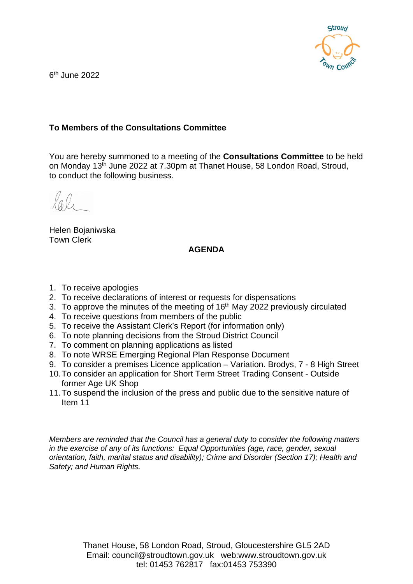

6th June 2022

## **To Members of the Consultations Committee**

You are hereby summoned to a meeting of the **Consultations Committee** to be held on Monday 13th June 2022 at 7.30pm at Thanet House, 58 London Road, Stroud, to conduct the following business.

Helen Bojaniwska Town Clerk

## **AGENDA**

- 1. To receive apologies
- 2. To receive declarations of interest or requests for dispensations
- 3. To approve the minutes of the meeting of  $16<sup>th</sup>$  May 2022 previously circulated
- 4. To receive questions from members of the public
- 5. To receive the Assistant Clerk's Report (for information only)
- 6. To note planning decisions from the Stroud District Council
- 7. To comment on planning applications as listed
- 8. To note WRSE Emerging Regional Plan Response Document
- 9. To consider a premises Licence application Variation. Brodys, 7 8 High Street
- 10.To consider an application for Short Term Street Trading Consent Outside former Age UK Shop
- 11.To suspend the inclusion of the press and public due to the sensitive nature of Item 11

*Members are reminded that the Council has a general duty to consider the following matters in the exercise of any of its functions: Equal Opportunities (age, race, gender, sexual orientation, faith, marital status and disability); Crime and Disorder (Section 17); Health and Safety; and Human Rights.*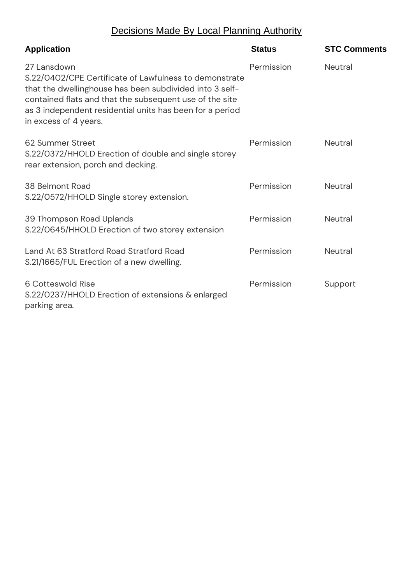## Decisions Made By Local Planning Authority

| <b>Application</b>                                                                                                                                                                                                                                                               | <b>Status</b> | <b>STC Comments</b> |
|----------------------------------------------------------------------------------------------------------------------------------------------------------------------------------------------------------------------------------------------------------------------------------|---------------|---------------------|
| 27 Lansdown<br>S.22/0402/CPE Certificate of Lawfulness to demonstrate<br>that the dwellinghouse has been subdivided into 3 self-<br>contained flats and that the subsequent use of the site<br>as 3 independent residential units has been for a period<br>in excess of 4 years. | Permission    | <b>Neutral</b>      |
| 62 Summer Street<br>S.22/0372/HHOLD Erection of double and single storey<br>rear extension, porch and decking.                                                                                                                                                                   | Permission    | <b>Neutral</b>      |
| 38 Belmont Road<br>S.22/0572/HHOLD Single storey extension.                                                                                                                                                                                                                      | Permission    | <b>Neutral</b>      |
| 39 Thompson Road Uplands<br>S.22/0645/HHOLD Erection of two storey extension                                                                                                                                                                                                     | Permission    | <b>Neutral</b>      |
| Land At 63 Stratford Road Stratford Road<br>S.21/1665/FUL Erection of a new dwelling.                                                                                                                                                                                            | Permission    | <b>Neutral</b>      |
| 6 Cotteswold Rise<br>S.22/0237/HHOLD Erection of extensions & enlarged<br>parking area.                                                                                                                                                                                          | Permission    | Support             |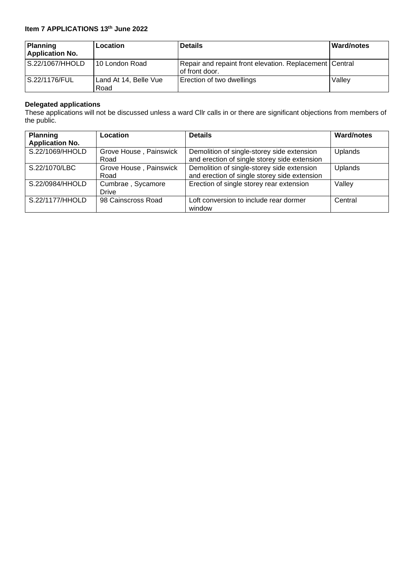## **Item 7 APPLICATIONS 13th June 2022**

| Planning<br><b>Application No.</b> | Location                      | <b>Details</b>                                                            | <b>Ward/notes</b> |
|------------------------------------|-------------------------------|---------------------------------------------------------------------------|-------------------|
| S.22/1067/HHOLD                    | 10 London Road                | Repair and repaint front elevation. Replacement Central<br>of front door. |                   |
| l S.22/1176/FUL                    | Land At 14, Belle Vue<br>Road | Erection of two dwellings                                                 | Valley            |

#### **Delegated applications**

These applications will not be discussed unless a ward Cllr calls in or there are significant objections from members of the public.

| <b>Planning</b><br><b>Application No.</b> | Location                       | <b>Details</b>                                                                             | <b>Ward/notes</b> |
|-------------------------------------------|--------------------------------|--------------------------------------------------------------------------------------------|-------------------|
| S.22/1069/HHOLD                           | Grove House, Painswick<br>Road | Demolition of single-storey side extension<br>and erection of single storey side extension | Uplands           |
| S.22/1070/LBC                             | Grove House, Painswick<br>Road | Demolition of single-storey side extension<br>and erection of single storey side extension | Uplands           |
| S.22/0984/HHOLD                           | Cumbrae, Sycamore<br>Drive     | Erection of single storey rear extension                                                   | Valley            |
| S.22/1177/HHOLD                           | 98 Cainscross Road             | Loft conversion to include rear dormer<br>window                                           | Central           |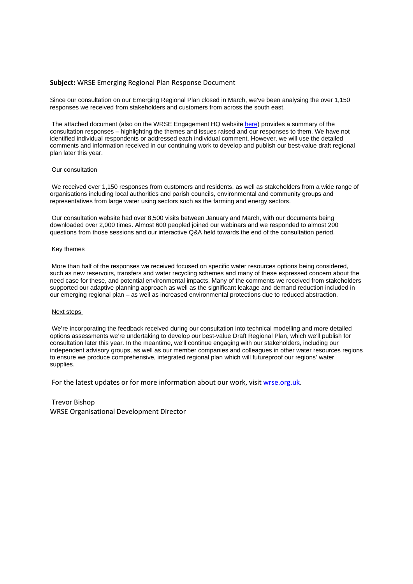#### **Subject:** WRSE Emerging Regional Plan Response Document

Since our consultation on our Emerging Regional Plan closed in March, we've been analysing the over 1,150 responses we received from stakeholders and customers from across the south east.

The attached document (also on the WRSE Engagement HQ website [here\)](https://wrse.uk.engagementhq.com/our-regional-plan) provides a summary of the consultation responses – highlighting the themes and issues raised and our responses to them. We have not identified individual respondents or addressed each individual comment. However, we will use the detailed comments and information received in our continuing work to develop and publish our best-value draft regional plan later this year.

#### Our consultation

We received over 1,150 responses from customers and residents, as well as stakeholders from a wide range of organisations including local authorities and parish councils, environmental and community groups and representatives from large water using sectors such as the farming and energy sectors.

Our consultation website had over 8,500 visits between January and March, with our documents being downloaded over 2,000 times. Almost 600 peopled joined our webinars and we responded to almost 200 questions from those sessions and our interactive Q&A held towards the end of the consultation period.

#### Key themes

More than half of the responses we received focused on specific water resources options being considered, such as new reservoirs, transfers and water recycling schemes and many of these expressed concern about the need case for these, and potential environmental impacts. Many of the comments we received from stakeholders supported our adaptive planning approach as well as the significant leakage and demand reduction included in our emerging regional plan – as well as increased environmental protections due to reduced abstraction.

#### Next steps

We're incorporating the feedback received during our consultation into technical modelling and more detailed options assessments we're undertaking to develop our best-value Draft Regional Plan, which we'll publish for consultation later this year. In the meantime, we'll continue engaging with our stakeholders, including our independent advisory groups, as well as our member companies and colleagues in other water resources regions to ensure we produce comprehensive, integrated regional plan which will futureproof our regions' water supplies.

For the latest updates or for more information about our work, visit [wrse.org.uk.](http://www.wrse.org.uk/)

#### Trevor Bishop

WRSE Organisational Development Director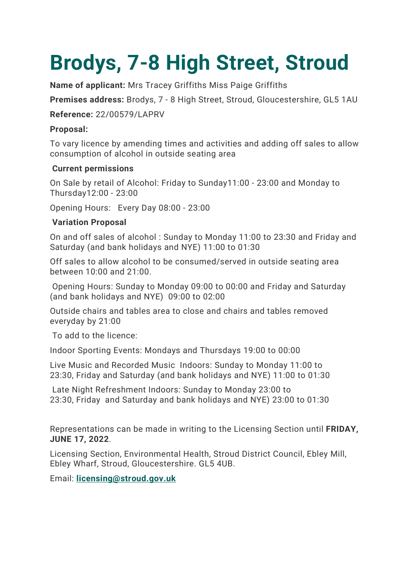# **Brodys, 7-8 High Street, Stroud**

**Name of applicant:** Mrs Tracey Griffiths Miss Paige Griffiths

**Premises address:** Brodys, 7 - 8 High Street, Stroud, Gloucestershire, GL5 1AU

**Reference:** 22/00579/LAPRV

## **Proposal:**

To vary licence by amending times and activities and adding off sales to allow consumption of alcohol in outside seating area

## **Current permissions**

On Sale by retail of Alcohol: Friday to Sunday11:00 - 23:00 and Monday to Thursday12:00 - 23:00

Opening Hours: Every Day 08:00 - 23:00

## **Variation Proposal**

On and off sales of alcohol : Sunday to Monday 11:00 to 23:30 and Friday and Saturday (and bank holidays and NYE) 11:00 to 01:30

Off sales to allow alcohol to be consumed/served in outside seating area between 10:00 and 21:00.

Opening Hours: Sunday to Monday 09:00 to 00:00 and Friday and Saturday (and bank holidays and NYE) 09:00 to 02:00

Outside chairs and tables area to close and chairs and tables removed everyday by 21:00

To add to the licence:

Indoor Sporting Events: Mondays and Thursdays 19:00 to 00:00

Live Music and Recorded Music Indoors: Sunday to Monday 11:00 to 23:30, Friday and Saturday (and bank holidays and NYE) 11:00 to 01:30

Late Night Refreshment Indoors: Sunday to Monday 23:00 to 23:30, Friday and Saturday and bank holidays and NYE) 23:00 to 01:30

Representations can be made in writing to the Licensing Section until **FRIDAY, JUNE 17, 2022**.

Licensing Section, Environmental Health, Stroud District Council, Ebley Mill, Ebley Wharf, Stroud, Gloucestershire. GL5 4UB.

Email: **[licensing@stroud.gov.uk](mailto:licensing@stroud.gov.uk?Subject=Licensing%20rep%20from%20website)**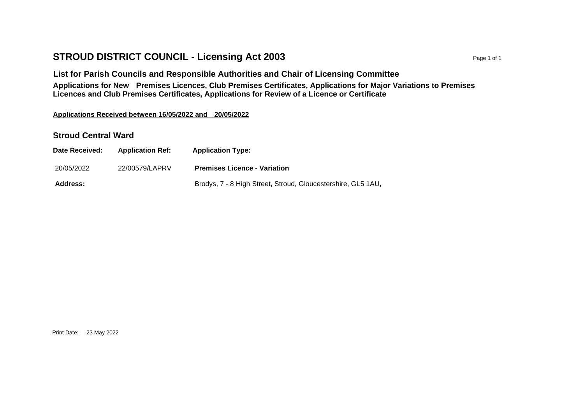## **STROUD DISTRICT COUNCIL - Licensing Act 2003** Page 1 of 1

**List for Parish Councils and Responsible Authorities and Chair of Licensing Committee Applications for New Premises Licences, Club Premises Certificates, Applications for Major Variations to Premises Licences and Club Premises Certificates, Applications for Review of a Licence or Certificate**

#### **Applications Received between 16/05/2022 and 20/05/2022**

### **Stroud Central Ward**

| Date Received:  | <b>Application Ref:</b> | <b>Application Type:</b>                                     |
|-----------------|-------------------------|--------------------------------------------------------------|
| 20/05/2022      | 22/00579/LAPRV          | <b>Premises Licence - Variation</b>                          |
| <b>Address:</b> |                         | Brodys, 7 - 8 High Street, Stroud, Gloucestershire, GL5 1AU, |

Print Date: 23 May 2022